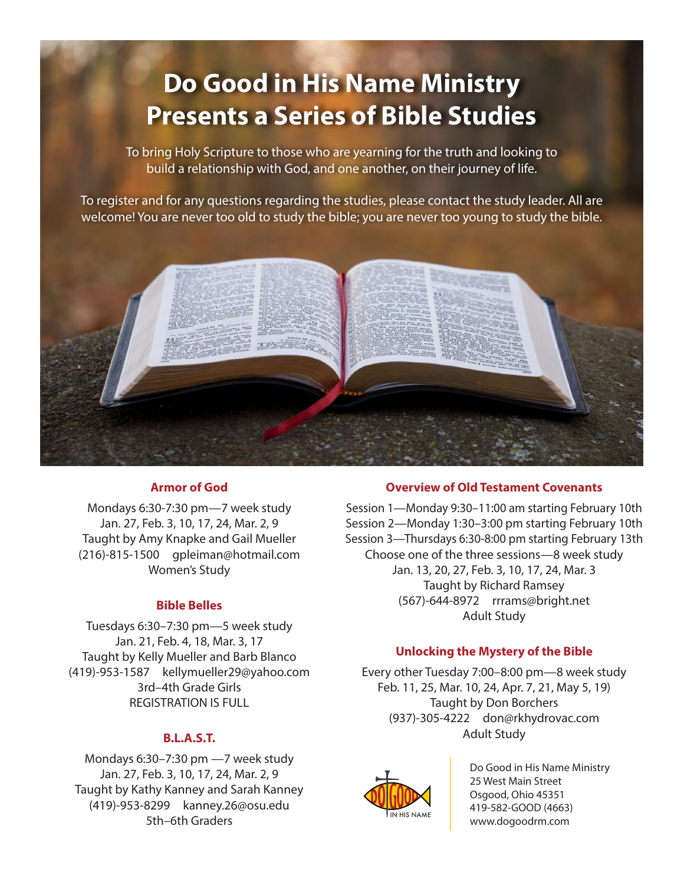# **Do Good in His Name Ministry Presents a Series of Bible Studies**

To bring Holy Scripture to those who are yearning for the truth and looking to build a relationship with God, and one another, on their journey of life.

To register and for any questions regarding the studies, please contact the study leader. All are welcome! You are never too old to study the bible; you are never too young to study the bible.



#### **Armor of God**

Mondays 6:30-7:30 pm—7 week study Jan. 27, Feb. 3, 10, 17, 24, Mar. 2, 9 Taught by Amy Knapke and Gail Mueller (216)-815-1500 gpleiman@hotmail.com Women's Study

#### **Bible Belles**

Tuesdays 6:30–7:30 pm—5 week study Jan. 21, Feb. 4, 18, Mar. 3, 17 Taught by Kelly Mueller and Barb Blanco (419)-953-1587 kellymueller29@yahoo.com 3rd–4th Grade Girls REGISTRATION IS FULL

#### **B.L.A.S.T.**

Mondays 6:30–7:30 pm —7 week study Jan. 27, Feb. 3, 10, 17, 24, Mar. 2, 9 Taught by Kathy Kanney and Sarah Kanney (419)-953-8299 kanney.26@osu.edu 5th–6th Graders

#### **Overview of Old Testament Covenants**

Session 1—Monday 9:30–11:00 am starting February 10th Session 2—Monday 1:30–3:00 pm starting February 10th Session 3—Thursdays 6:30-8:00 pm starting February 13th Choose one of the three sessions—8 week study Jan. 13, 20, 27, Feb. 3, 10, 17, 24, Mar. 3 Taught by Richard Ramsey (567)-644-8972 rrrams@bright.net Adult Study

#### **Unlocking the Mystery of the Bible**

Every other Tuesday 7:00–8:00 pm—8 week study Feb. 11, 25, Mar. 10, 24, Apr. 7, 21, May 5, 19) Taught by Don Borchers (937)-305-4222 don@rkhydrovac.com Adult Study



Do Good in His Name Ministry 25 West Main Street Osgood, Ohio 45351 419-582-GOOD (4663) www.dogoodrm.com